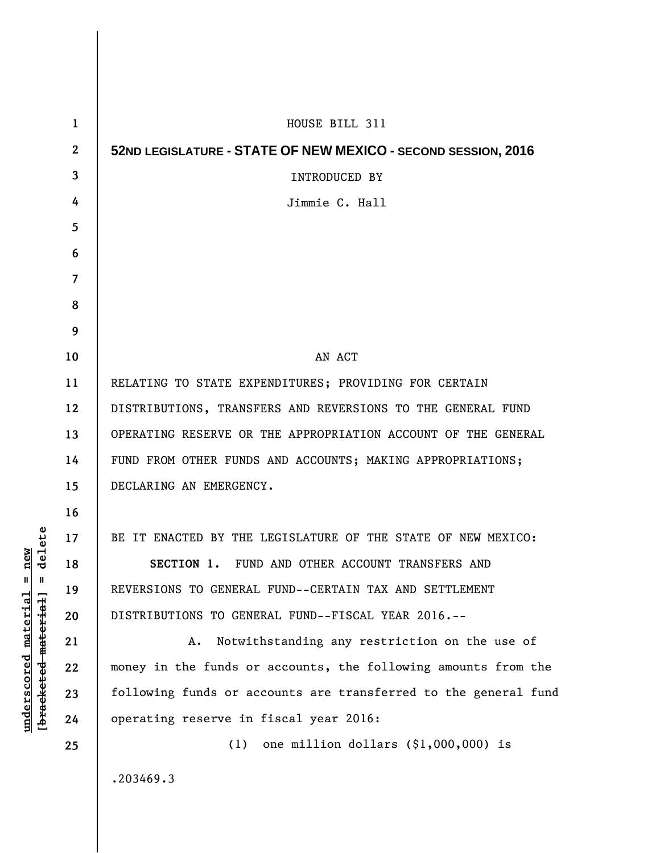| $\mathbf{1}$ | HOUSE BILL 311                                                  |
|--------------|-----------------------------------------------------------------|
| $\mathbf{2}$ | 52ND LEGISLATURE - STATE OF NEW MEXICO - SECOND SESSION, 2016   |
| 3            | <b>INTRODUCED BY</b>                                            |
| 4            | Jimmie C. Hall                                                  |
| 5            |                                                                 |
| 6            |                                                                 |
| 7            |                                                                 |
| 8            |                                                                 |
| 9            |                                                                 |
| 10           | AN ACT                                                          |
| 11           | RELATING TO STATE EXPENDITURES; PROVIDING FOR CERTAIN           |
| 12           | DISTRIBUTIONS, TRANSFERS AND REVERSIONS TO THE GENERAL FUND     |
| 13           | OPERATING RESERVE OR THE APPROPRIATION ACCOUNT OF THE GENERAL   |
| 14           | FUND FROM OTHER FUNDS AND ACCOUNTS; MAKING APPROPRIATIONS;      |
| 15           | DECLARING AN EMERGENCY.                                         |
| 16           |                                                                 |
| 17           | BE IT ENACTED BY THE LEGISLATURE OF THE STATE OF NEW MEXICO:    |
| 18           | SECTION 1. FUND AND OTHER ACCOUNT TRANSFERS AND                 |
| 19           | REVERSIONS TO GENERAL FUND--CERTAIN TAX AND SETTLEMENT          |
| 20           | DISTRIBUTIONS TO GENERAL FUND--FISCAL YEAR 2016.--              |
| 21           | Notwithstanding any restriction on the use of<br>A.             |
| 22           | money in the funds or accounts, the following amounts from the  |
| 23           | following funds or accounts are transferred to the general fund |
| 24           | operating reserve in fiscal year 2016:                          |
| 25           | (1)<br>one million dollars $(\$1,000,000)$ is                   |
|              | .203469.3                                                       |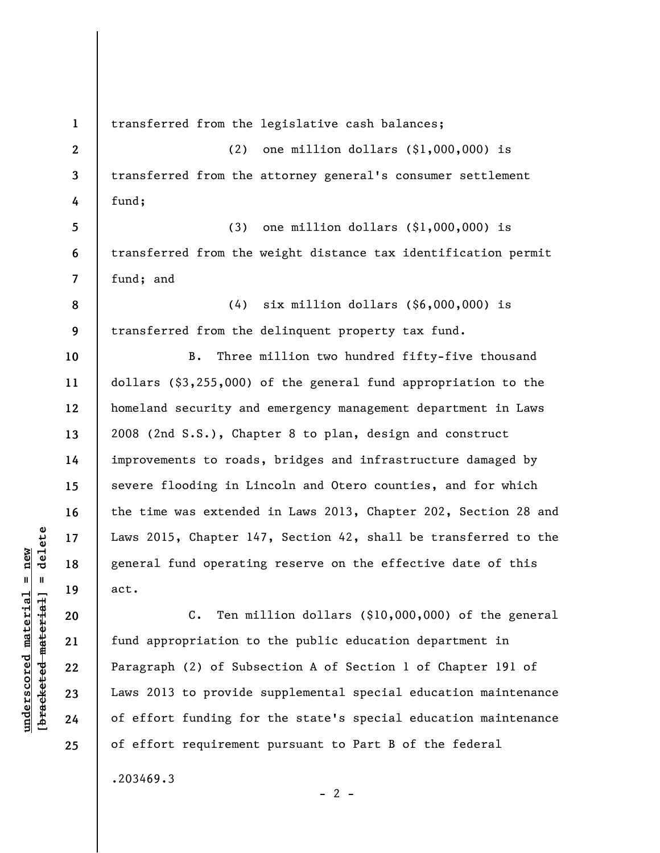**1 2 3 4 5 6 7 8 9 10 11 12 13 14 15 16 17 18 19 20 21 22 23 24**  transferred from the legislative cash balances; (2) one million dollars (\$1,000,000) is transferred from the attorney general's consumer settlement fund; (3) one million dollars (\$1,000,000) is transferred from the weight distance tax identification permit fund; and (4) six million dollars (\$6,000,000) is transferred from the delinquent property tax fund. B. Three million two hundred fifty-five thousand dollars (\$3,255,000) of the general fund appropriation to the homeland security and emergency management department in Laws 2008 (2nd S.S.), Chapter 8 to plan, design and construct improvements to roads, bridges and infrastructure damaged by severe flooding in Lincoln and Otero counties, and for which the time was extended in Laws 2013, Chapter 202, Section 28 and Laws 2015, Chapter 147, Section 42, shall be transferred to the general fund operating reserve on the effective date of this act. C. Ten million dollars (\$10,000,000) of the general fund appropriation to the public education department in Paragraph (2) of Subsection A of Section 1 of Chapter 191 of Laws 2013 to provide supplemental special education maintenance of effort funding for the state's special education maintenance

.203469.3

 $\frac{1}{2}$  intereted material = delete **[bracketed material] = delete**  $underscored material = new$ **underscored material = new**

**25** 

 $- 2 -$ 

of effort requirement pursuant to Part B of the federal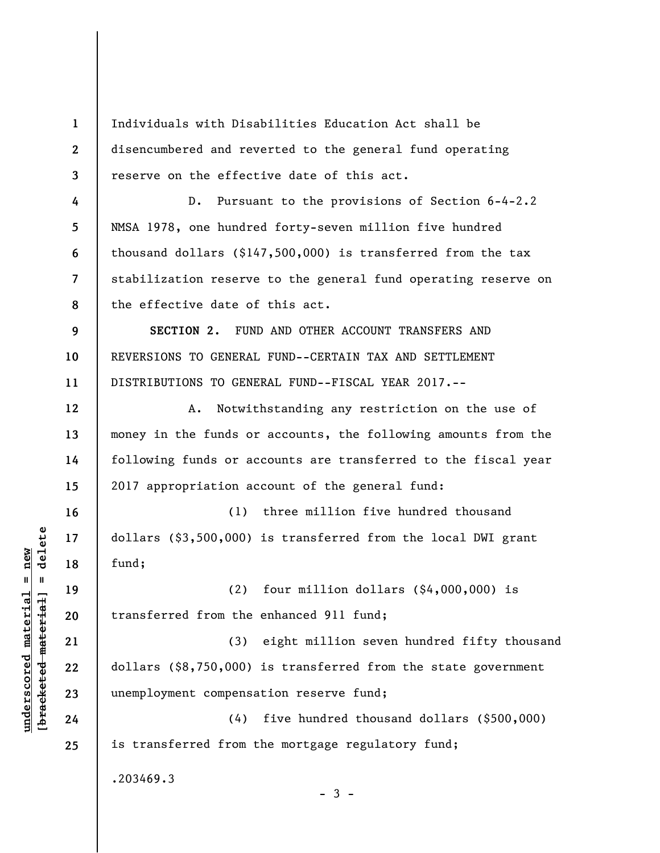**1 2 3 4 5 6 7 8 9 10 11 12 13 14 15 16 17 18 19 20 21 22 23 24 25**  Individuals with Disabilities Education Act shall be disencumbered and reverted to the general fund operating reserve on the effective date of this act. D. Pursuant to the provisions of Section 6-4-2.2 NMSA 1978, one hundred forty-seven million five hundred thousand dollars (\$147,500,000) is transferred from the tax stabilization reserve to the general fund operating reserve on the effective date of this act. **SECTION 2.** FUND AND OTHER ACCOUNT TRANSFERS AND REVERSIONS TO GENERAL FUND--CERTAIN TAX AND SETTLEMENT DISTRIBUTIONS TO GENERAL FUND--FISCAL YEAR 2017.-- A. Notwithstanding any restriction on the use of money in the funds or accounts, the following amounts from the following funds or accounts are transferred to the fiscal year 2017 appropriation account of the general fund: (1) three million five hundred thousand dollars (\$3,500,000) is transferred from the local DWI grant fund; (2) four million dollars (\$4,000,000) is transferred from the enhanced 911 fund; (3) eight million seven hundred fifty thousand dollars (\$8,750,000) is transferred from the state government unemployment compensation reserve fund; (4) five hundred thousand dollars (\$500,000) is transferred from the mortgage regulatory fund; .203469.3  $-3 -$ 

 $\frac{1}{2}$  intereted material = delete **[bracketed material] = delete**  $underscored material = new$ **underscored material = new**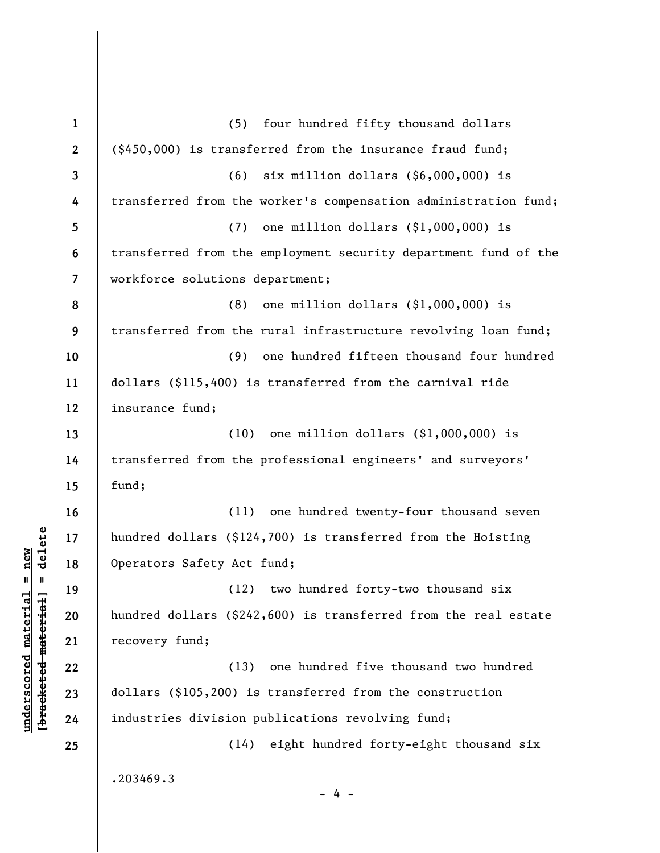**1 2 3 4 5 6 7 8 9 10 11 12 13 14 15 16 17 18 19 20 21 22 23 24 25**  (5) four hundred fifty thousand dollars (\$450,000) is transferred from the insurance fraud fund; (6) six million dollars (\$6,000,000) is transferred from the worker's compensation administration fund; (7) one million dollars (\$1,000,000) is transferred from the employment security department fund of the workforce solutions department; (8) one million dollars (\$1,000,000) is transferred from the rural infrastructure revolving loan fund; (9) one hundred fifteen thousand four hundred dollars (\$115,400) is transferred from the carnival ride insurance fund; (10) one million dollars (\$1,000,000) is transferred from the professional engineers' and surveyors' fund; (11) one hundred twenty-four thousand seven hundred dollars (\$124,700) is transferred from the Hoisting Operators Safety Act fund; (12) two hundred forty-two thousand six hundred dollars (\$242,600) is transferred from the real estate recovery fund; (13) one hundred five thousand two hundred dollars (\$105,200) is transferred from the construction industries division publications revolving fund; (14) eight hundred forty-eight thousand six .203469.3 - 4 -

**underscored material = new [bracketed material] = delete**

 $\frac{1}{2}$  intereted material = delete  $underscored$  material = new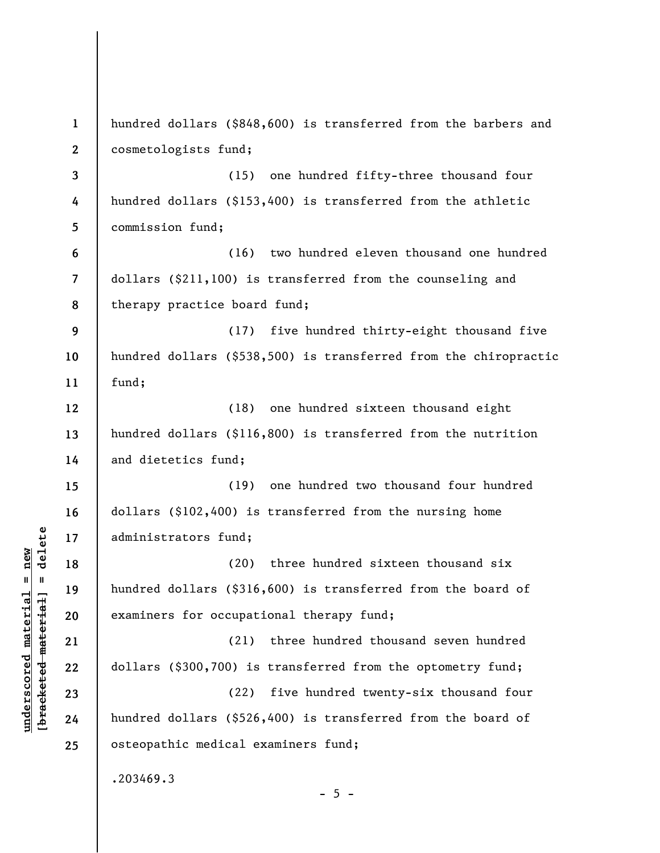| $\mathbf{1}$   | hundred dollars (\$848,600) is transferred from the barbers and  |
|----------------|------------------------------------------------------------------|
| $\mathbf{2}$   | cosmetologists fund;                                             |
| 3              | (15) one hundred fifty-three thousand four                       |
| 4              | hundred dollars (\$153,400) is transferred from the athletic     |
| 5              | commission fund;                                                 |
| 6              | two hundred eleven thousand one hundred<br>(16)                  |
| $\overline{7}$ | dollars (\$211,100) is transferred from the counseling and       |
| 8              | therapy practice board fund;                                     |
| 9              | (17)<br>five hundred thirty-eight thousand five                  |
| 10             | hundred dollars (\$538,500) is transferred from the chiropractic |
| 11             | fund;                                                            |
| 12             | (18)<br>one hundred sixteen thousand eight                       |
| 13             | hundred dollars (\$116,800) is transferred from the nutrition    |
| 14             | and dietetics fund;                                              |
| 15             | one hundred two thousand four hundred<br>(19)                    |
| 16             | dollars (\$102,400) is transferred from the nursing home         |
| 17             | administrators fund;                                             |
| 18             | three hundred sixteen thousand six<br>(20)                       |
| 19             | hundred dollars (\$316,600) is transferred from the board of     |
| 20             | examiners for occupational therapy fund;                         |
| 21             | three hundred thousand seven hundred<br>(21)                     |
| 22             | dollars (\$300,700) is transferred from the optometry fund;      |
| 23             | five hundred twenty-six thousand four<br>(22)                    |
| 24             | hundred dollars (\$526,400) is transferred from the board of     |
| 25             | osteopathic medical examiners fund;                              |
|                | .203469.3<br>$-5 -$                                              |

 $[bracketeed-materiat] = delete$ **[bracketed material] = delete**  $underscored material = new$ **underscored material = new**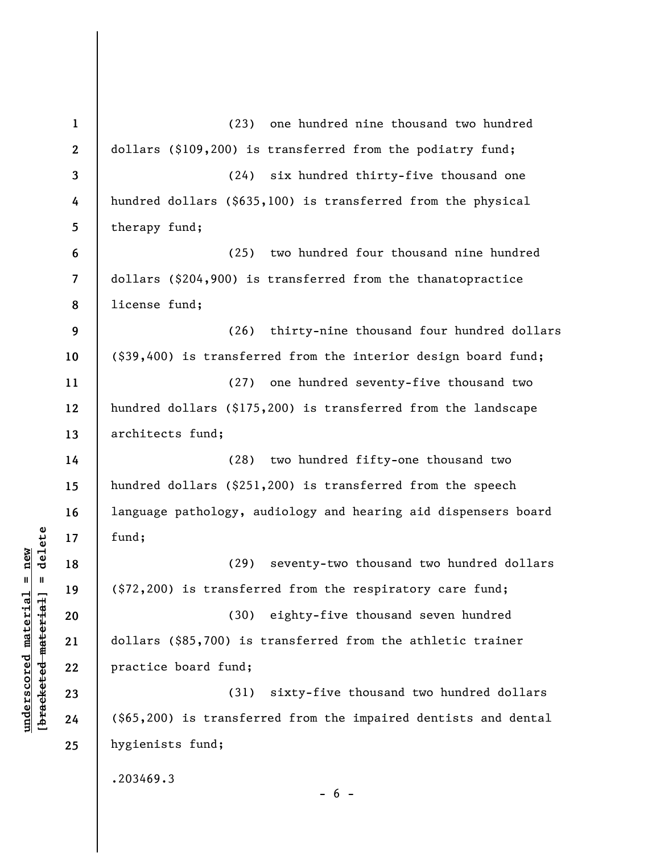**1 2 3 4 5 6 7 8 9 10 11 12 13 14 15 16 17 18 19 20 21 22 23 24 25**  (23) one hundred nine thousand two hundred dollars (\$109,200) is transferred from the podiatry fund; (24) six hundred thirty-five thousand one hundred dollars (\$635,100) is transferred from the physical therapy fund; (25) two hundred four thousand nine hundred dollars (\$204,900) is transferred from the thanatopractice license fund; (26) thirty-nine thousand four hundred dollars (\$39,400) is transferred from the interior design board fund; (27) one hundred seventy-five thousand two hundred dollars (\$175,200) is transferred from the landscape architects fund; (28) two hundred fifty-one thousand two hundred dollars (\$251,200) is transferred from the speech language pathology, audiology and hearing aid dispensers board fund; (29) seventy-two thousand two hundred dollars (\$72,200) is transferred from the respiratory care fund; (30) eighty-five thousand seven hundred dollars (\$85,700) is transferred from the athletic trainer practice board fund; (31) sixty-five thousand two hundred dollars (\$65,200) is transferred from the impaired dentists and dental hygienists fund; .203469.3  $- 6 -$ 

**underscored material = new [bracketed material] = delete**

 $b$ racketed material] = delete  $underscored$  material = new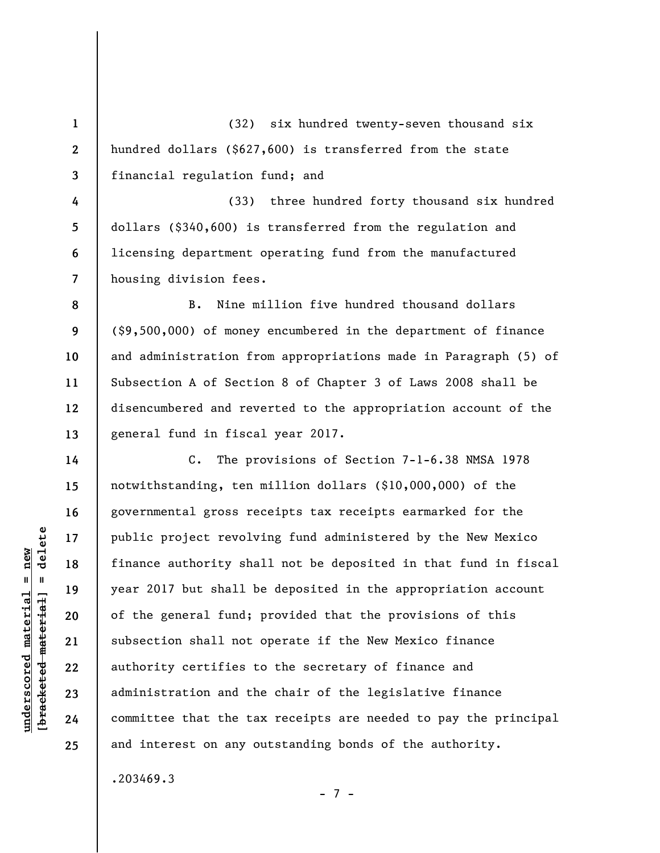**1 2 3**  (32) six hundred twenty-seven thousand six hundred dollars (\$627,600) is transferred from the state financial regulation fund; and

**4 5 6 7**  (33) three hundred forty thousand six hundred dollars (\$340,600) is transferred from the regulation and licensing department operating fund from the manufactured housing division fees.

B. Nine million five hundred thousand dollars (\$9,500,000) of money encumbered in the department of finance and administration from appropriations made in Paragraph (5) of Subsection A of Section 8 of Chapter 3 of Laws 2008 shall be disencumbered and reverted to the appropriation account of the general fund in fiscal year 2017.

C. The provisions of Section 7-1-6.38 NMSA 1978 notwithstanding, ten million dollars (\$10,000,000) of the governmental gross receipts tax receipts earmarked for the public project revolving fund administered by the New Mexico finance authority shall not be deposited in that fund in fiscal year 2017 but shall be deposited in the appropriation account of the general fund; provided that the provisions of this subsection shall not operate if the New Mexico finance authority certifies to the secretary of finance and administration and the chair of the legislative finance committee that the tax receipts are needed to pay the principal and interest on any outstanding bonds of the authority.

- 7 -

.203469.3

 $\frac{1}{2}$  intereted material = delete **[bracketed material] = delete**  $underscored$  material = new **underscored material = new**

**8** 

**9** 

**10** 

**11** 

**12** 

**13** 

**14** 

**15** 

**16** 

**17** 

**18** 

**19** 

**20** 

**21** 

**22** 

**23** 

**24** 

**25**